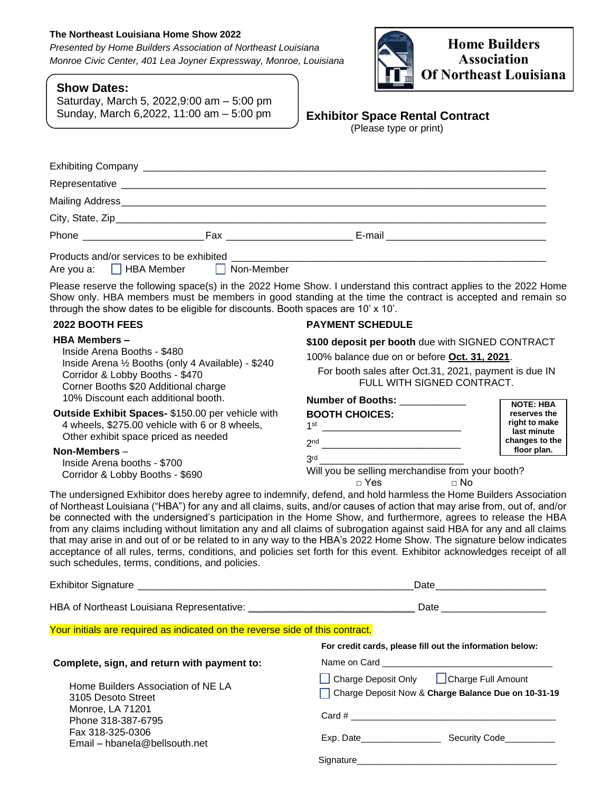# **The Northeast Louisiana Home Show 2022**

*Presented by Home Builders Association of Northeast Louisiana Monroe Civic Center, 401 Lea Joyner Expressway, Monroe, Louisiana*

# **Show Dates:**

Saturday, March 5, 2022,9:00 am – 5:00 pm Sunday, March 6,2022, 11:00 am – 5:00 pm



# **Exhibitor Space Rental Contract**

(Please type or print)

| Phone Fax                                                                             |  |
|---------------------------------------------------------------------------------------|--|
| Products and/or services to be exhibited example.<br>Are you a: HBA Member Non-Member |  |

Please reserve the following space(s) in the 2022 Home Show. I understand this contract applies to the 2022 Home Show only. HBA members must be members in good standing at the time the contract is accepted and remain so through the show dates to be eligible for discounts. Booth spaces are 10' x 10'.

# **2022 BOOTH FEES**

### **HBA Members –**

Inside Arena Booths - \$480 Inside Arena ½ Booths (only 4 Available) - \$240 Corridor & Lobby Booths - \$470 Corner Booths \$20 Additional charge 10% Discount each additional booth.

# **Outside Exhibit Spaces-** \$150.00 per vehicle with 4 wheels, \$275.00 vehicle with 6 or 8 wheels, Other exhibit space priced as needed

**Non-Members** – Inside Arena booths - \$700 Corridor & Lobby Booths - \$690

# **PAYMENT SCHEDULE**

**\$100 deposit per booth** due with SIGNED CONTRACT

100% balance due on or before **Oct. 31, 2021**.

For booth sales after Oct.31, 2021, payment is due IN FULL WITH SIGNED CONTRACT.

| <b>Number of Booths:</b>                         |                               |  |  |
|--------------------------------------------------|-------------------------------|--|--|
|                                                  | <b>NOTE: HBA</b>              |  |  |
| <b>BOOTH CHOICES:</b>                            | reserves the                  |  |  |
| 1st                                              | right to make<br>last minute  |  |  |
| 2 <sub>nd</sub>                                  | changes to the<br>floor plan. |  |  |
| 3 <sup>rd</sup>                                  |                               |  |  |
| Will you be selling merchandise from your booth? |                               |  |  |
| Yes                                              |                               |  |  |

The undersigned Exhibitor does hereby agree to indemnify, defend, and hold harmless the Home Builders Association of Northeast Louisiana ("HBA") for any and all claims, suits, and/or causes of action that may arise from, out of, and/or be connected with the undersigned's participation in the Home Show, and furthermore, agrees to release the HBA from any claims including without limitation any and all claims of subrogation against said HBA for any and all claims that may arise in and out of or be related to in any way to the HBA's 2022 Home Show. The signature below indicates acceptance of all rules, terms, conditions, and policies set forth for this event. Exhibitor acknowledges receipt of all such schedules, terms, conditions, and policies.

|                                                                               | Date and the contract of the contract of the contract of the contract of the contract of the contract of the contract of the contract of the contract of the contract of the contract of the contract of the contract of the c |  |
|-------------------------------------------------------------------------------|--------------------------------------------------------------------------------------------------------------------------------------------------------------------------------------------------------------------------------|--|
|                                                                               |                                                                                                                                                                                                                                |  |
| Your initials are required as indicated on the reverse side of this contract. |                                                                                                                                                                                                                                |  |
|                                                                               | For credit cards, please fill out the information below:                                                                                                                                                                       |  |
| Complete, sign, and return with payment to:                                   |                                                                                                                                                                                                                                |  |
| Home Builders Association of NE LA<br>3105 Desoto Street                      | Charge Deposit Only <b>Charge Full Amount</b><br>Charge Deposit Now & Charge Balance Due on 10-31-19                                                                                                                           |  |
| Monroe, LA 71201<br>Phone 318-387-6795                                        |                                                                                                                                                                                                                                |  |
| Fax 318-325-0306<br>Email – hbanela@bellsouth.net                             |                                                                                                                                                                                                                                |  |
|                                                                               | Signature                                                                                                                                                                                                                      |  |